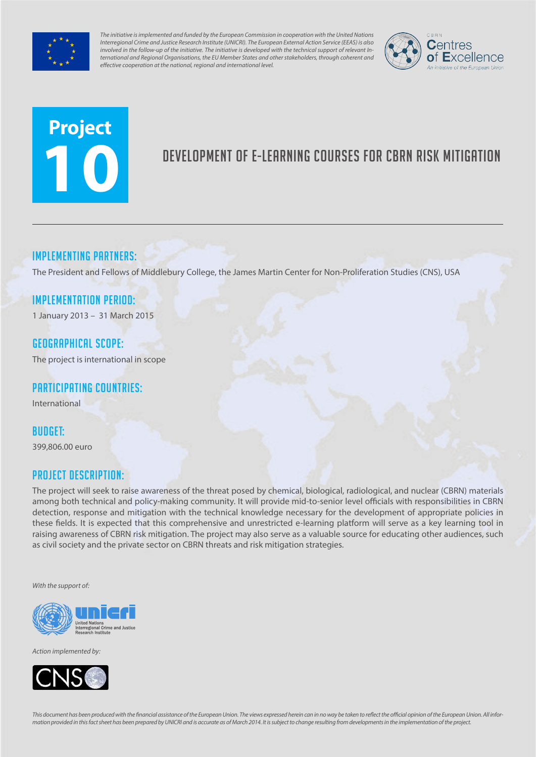

*The initiative is implemented and funded by the European Commission in cooperation with the United Nations Interregional Crime and Justice Research Institute (UNICRI). The European External Action Service (EEAS) is also involved in the follow-up of the initiative. The initiative is developed with the technical support of relevant International and Regional Organisations, the EU Member States and other stakeholders, through coherent and effective cooperation at the national, regional and international level.*



# **Project 10**

# Development of e-learning courses for CBRN risk mitigation

# Implementing partners:

The President and Fellows of Middlebury College, the James Martin Center for Non-Proliferation Studies (CNS), USA

#### Implementation Period:

1 January 2013 – 31 March 2015

#### Geographical scope:

The project is international in scope

# Participating countries:

International

#### Budget:

399,806.00 euro

# Project Description:

The project will seek to raise awareness of the threat posed by chemical, biological, radiological, and nuclear (CBRN) materials among both technical and policy-making community. It will provide mid-to-senior level officials with responsibilities in CBRN detection, response and mitigation with the technical knowledge necessary for the development of appropriate policies in these fields. It is expected that this comprehensive and unrestricted e-learning platform will serve as a key learning tool in raising awareness of CBRN risk mitigation. The project may also serve as a valuable source for educating other audiences, such as civil society and the private sector on CBRN threats and risk mitigation strategies.

*With the support of:*



*Action implemented by:*



*This document has been produced with the financial assistance of the European Union. The views expressed herein can in no way be taken to reflect the official opinion of the European Union. All information provided in this fact sheet has been prepared by UNICRI and is accurate as of March 2014. It is subject to change resulting from developments in the implementation of the project.*